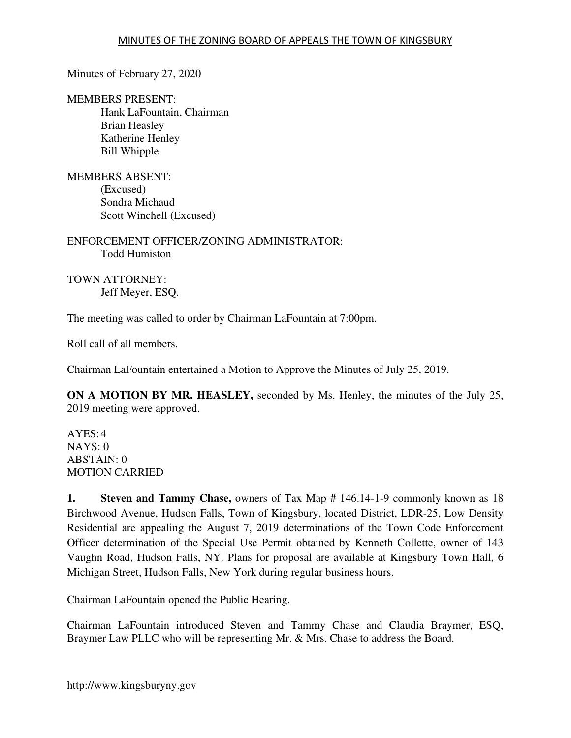Minutes of February 27, 2020

MEMBERS PRESENT: Hank LaFountain, Chairman Brian Heasley Katherine Henley Bill Whipple

MEMBERS ABSENT: (Excused) Sondra Michaud Scott Winchell (Excused)

ENFORCEMENT OFFICER/ZONING ADMINISTRATOR: Todd Humiston

TOWN ATTORNEY: Jeff Meyer, ESQ.

The meeting was called to order by Chairman LaFountain at 7:00pm.

Roll call of all members.

Chairman LaFountain entertained a Motion to Approve the Minutes of July 25, 2019.

**ON A MOTION BY MR. HEASLEY,** seconded by Ms. Henley, the minutes of the July 25, 2019 meeting were approved.

 $AYES:4$ NAYS: 0 ABSTAIN: 0 MOTION CARRIED

**1. Steven and Tammy Chase,** owners of Tax Map # 146.14-1-9 commonly known as 18 Birchwood Avenue, Hudson Falls, Town of Kingsbury, located District, LDR-25, Low Density Residential are appealing the August 7, 2019 determinations of the Town Code Enforcement Officer determination of the Special Use Permit obtained by Kenneth Collette, owner of 143 Vaughn Road, Hudson Falls, NY. Plans for proposal are available at Kingsbury Town Hall, 6 Michigan Street, Hudson Falls, New York during regular business hours.

Chairman LaFountain opened the Public Hearing.

Chairman LaFountain introduced Steven and Tammy Chase and Claudia Braymer, ESQ, Braymer Law PLLC who will be representing Mr. & Mrs. Chase to address the Board.

http://www.kingsburyny.gov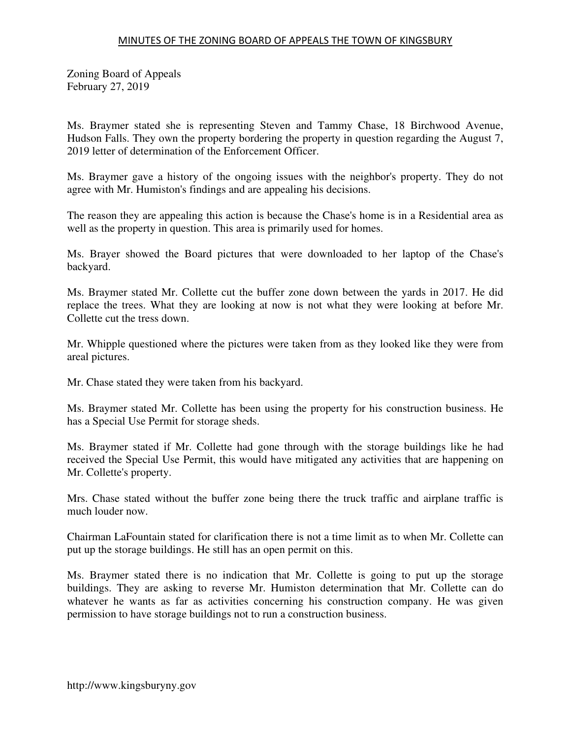Zoning Board of Appeals February 27, 2019

Ms. Braymer stated she is representing Steven and Tammy Chase, 18 Birchwood Avenue, Hudson Falls. They own the property bordering the property in question regarding the August 7, 2019 letter of determination of the Enforcement Officer.

Ms. Braymer gave a history of the ongoing issues with the neighbor's property. They do not agree with Mr. Humiston's findings and are appealing his decisions.

The reason they are appealing this action is because the Chase's home is in a Residential area as well as the property in question. This area is primarily used for homes.

Ms. Brayer showed the Board pictures that were downloaded to her laptop of the Chase's backyard.

Ms. Braymer stated Mr. Collette cut the buffer zone down between the yards in 2017. He did replace the trees. What they are looking at now is not what they were looking at before Mr. Collette cut the tress down.

Mr. Whipple questioned where the pictures were taken from as they looked like they were from areal pictures.

Mr. Chase stated they were taken from his backyard.

Ms. Braymer stated Mr. Collette has been using the property for his construction business. He has a Special Use Permit for storage sheds.

Ms. Braymer stated if Mr. Collette had gone through with the storage buildings like he had received the Special Use Permit, this would have mitigated any activities that are happening on Mr. Collette's property.

Mrs. Chase stated without the buffer zone being there the truck traffic and airplane traffic is much louder now.

Chairman LaFountain stated for clarification there is not a time limit as to when Mr. Collette can put up the storage buildings. He still has an open permit on this.

Ms. Braymer stated there is no indication that Mr. Collette is going to put up the storage buildings. They are asking to reverse Mr. Humiston determination that Mr. Collette can do whatever he wants as far as activities concerning his construction company. He was given permission to have storage buildings not to run a construction business.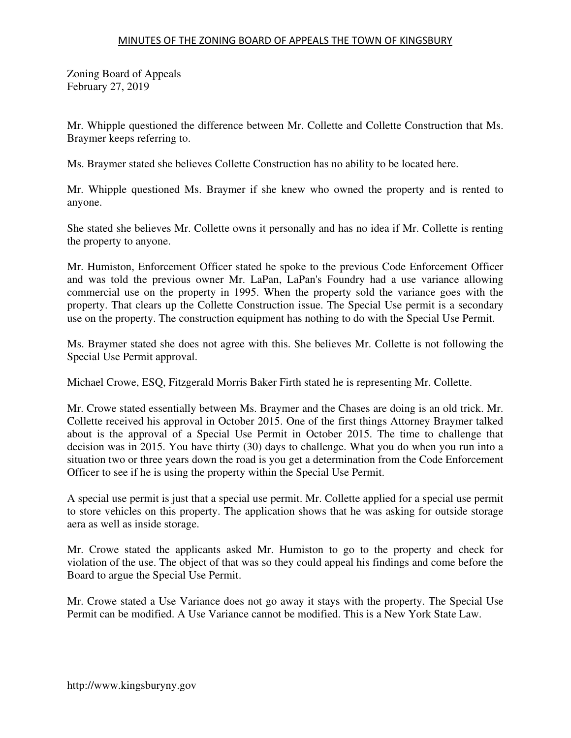Zoning Board of Appeals February 27, 2019

Mr. Whipple questioned the difference between Mr. Collette and Collette Construction that Ms. Braymer keeps referring to.

Ms. Braymer stated she believes Collette Construction has no ability to be located here.

Mr. Whipple questioned Ms. Braymer if she knew who owned the property and is rented to anyone.

She stated she believes Mr. Collette owns it personally and has no idea if Mr. Collette is renting the property to anyone.

Mr. Humiston, Enforcement Officer stated he spoke to the previous Code Enforcement Officer and was told the previous owner Mr. LaPan, LaPan's Foundry had a use variance allowing commercial use on the property in 1995. When the property sold the variance goes with the property. That clears up the Collette Construction issue. The Special Use permit is a secondary use on the property. The construction equipment has nothing to do with the Special Use Permit.

Ms. Braymer stated she does not agree with this. She believes Mr. Collette is not following the Special Use Permit approval.

Michael Crowe, ESQ, Fitzgerald Morris Baker Firth stated he is representing Mr. Collette.

Mr. Crowe stated essentially between Ms. Braymer and the Chases are doing is an old trick. Mr. Collette received his approval in October 2015. One of the first things Attorney Braymer talked about is the approval of a Special Use Permit in October 2015. The time to challenge that decision was in 2015. You have thirty (30) days to challenge. What you do when you run into a situation two or three years down the road is you get a determination from the Code Enforcement Officer to see if he is using the property within the Special Use Permit.

A special use permit is just that a special use permit. Mr. Collette applied for a special use permit to store vehicles on this property. The application shows that he was asking for outside storage aera as well as inside storage.

Mr. Crowe stated the applicants asked Mr. Humiston to go to the property and check for violation of the use. The object of that was so they could appeal his findings and come before the Board to argue the Special Use Permit.

Mr. Crowe stated a Use Variance does not go away it stays with the property. The Special Use Permit can be modified. A Use Variance cannot be modified. This is a New York State Law.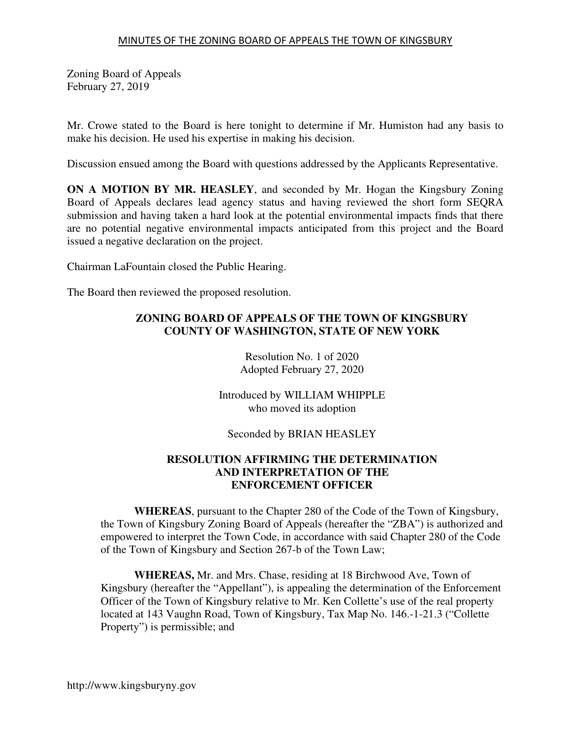Zoning Board of Appeals February 27, 2019

Mr. Crowe stated to the Board is here tonight to determine if Mr. Humiston had any basis to make his decision. He used his expertise in making his decision.

Discussion ensued among the Board with questions addressed by the Applicants Representative.

**ON A MOTION BY MR. HEASLEY**, and seconded by Mr. Hogan the Kingsbury Zoning Board of Appeals declares lead agency status and having reviewed the short form SEQRA submission and having taken a hard look at the potential environmental impacts finds that there are no potential negative environmental impacts anticipated from this project and the Board issued a negative declaration on the project.

Chairman LaFountain closed the Public Hearing.

The Board then reviewed the proposed resolution.

# **ZONING BOARD OF APPEALS OF THE TOWN OF KINGSBURY COUNTY OF WASHINGTON, STATE OF NEW YORK**

Resolution No. 1 of 2020 Adopted February 27, 2020

Introduced by WILLIAM WHIPPLE who moved its adoption

Seconded by BRIAN HEASLEY

## **RESOLUTION AFFIRMING THE DETERMINATION AND INTERPRETATION OF THE ENFORCEMENT OFFICER**

**WHEREAS**, pursuant to the Chapter 280 of the Code of the Town of Kingsbury, the Town of Kingsbury Zoning Board of Appeals (hereafter the "ZBA") is authorized and empowered to interpret the Town Code, in accordance with said Chapter 280 of the Code of the Town of Kingsbury and Section 267-b of the Town Law;

**WHEREAS,** Mr. and Mrs. Chase, residing at 18 Birchwood Ave, Town of Kingsbury (hereafter the "Appellant"), is appealing the determination of the Enforcement Officer of the Town of Kingsbury relative to Mr. Ken Collette's use of the real property located at 143 Vaughn Road, Town of Kingsbury, Tax Map No. 146.-1-21.3 ("Collette Property") is permissible; and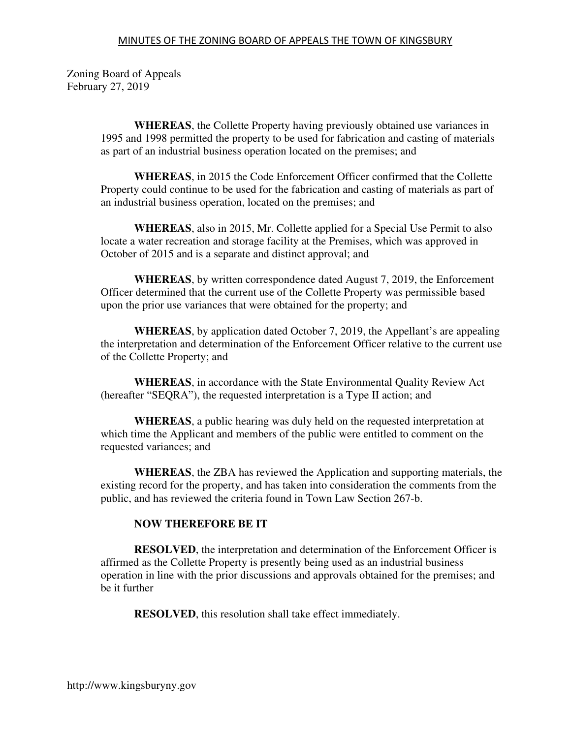#### MINUTES OF THE ZONING BOARD OF APPEALS THE TOWN OF KINGSBURY

Zoning Board of Appeals February 27, 2019

> **WHEREAS**, the Collette Property having previously obtained use variances in 1995 and 1998 permitted the property to be used for fabrication and casting of materials as part of an industrial business operation located on the premises; and

> **WHEREAS**, in 2015 the Code Enforcement Officer confirmed that the Collette Property could continue to be used for the fabrication and casting of materials as part of an industrial business operation, located on the premises; and

> **WHEREAS**, also in 2015, Mr. Collette applied for a Special Use Permit to also locate a water recreation and storage facility at the Premises, which was approved in October of 2015 and is a separate and distinct approval; and

> **WHEREAS**, by written correspondence dated August 7, 2019, the Enforcement Officer determined that the current use of the Collette Property was permissible based upon the prior use variances that were obtained for the property; and

**WHEREAS**, by application dated October 7, 2019, the Appellant's are appealing the interpretation and determination of the Enforcement Officer relative to the current use of the Collette Property; and

**WHEREAS**, in accordance with the State Environmental Quality Review Act (hereafter "SEQRA"), the requested interpretation is a Type II action; and

**WHEREAS**, a public hearing was duly held on the requested interpretation at which time the Applicant and members of the public were entitled to comment on the requested variances; and

**WHEREAS**, the ZBA has reviewed the Application and supporting materials, the existing record for the property, and has taken into consideration the comments from the public, and has reviewed the criteria found in Town Law Section 267-b.

#### **NOW THEREFORE BE IT**

**RESOLVED**, the interpretation and determination of the Enforcement Officer is affirmed as the Collette Property is presently being used as an industrial business operation in line with the prior discussions and approvals obtained for the premises; and be it further

**RESOLVED**, this resolution shall take effect immediately.